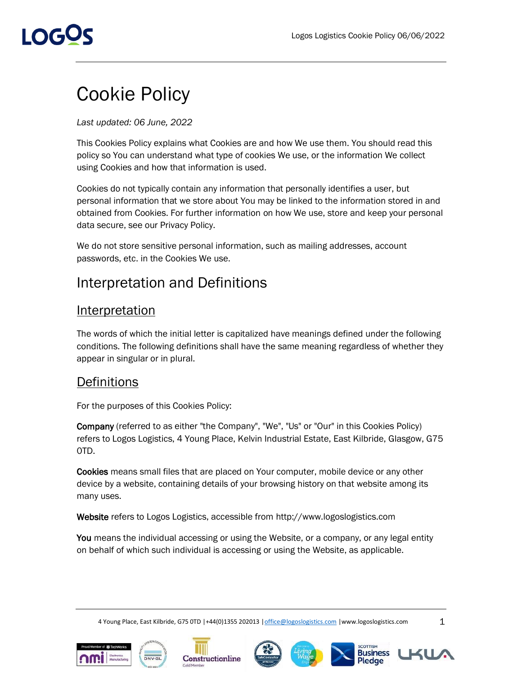# I OGUS

## Cookie Policy

*Last updated: 06 June, 2022*

This Cookies Policy explains what Cookies are and how We use them. You should read this policy so You can understand what type of cookies We use, or the information We collect using Cookies and how that information is used.

Cookies do not typically contain any information that personally identifies a user, but personal information that we store about You may be linked to the information stored in and obtained from Cookies. For further information on how We use, store and keep your personal data secure, see our Privacy Policy.

We do not store sensitive personal information, such as mailing addresses, account passwords, etc. in the Cookies We use.

## Interpretation and Definitions

### **Interpretation**

The words of which the initial letter is capitalized have meanings defined under the following conditions. The following definitions shall have the same meaning regardless of whether they appear in singular or in plural.

### **Definitions**

For the purposes of this Cookies Policy:

Company (referred to as either "the Company", "We", "Us" or "Our" in this Cookies Policy) refers to Logos Logistics, 4 Young Place, Kelvin Industrial Estate, East Kilbride, Glasgow, G75 0TD.

Cookies means small files that are placed on Your computer, mobile device or any other device by a website, containing details of your browsing history on that website among its many uses.

Website refers to Logos Logistics, accessible from [http://www.logoslogistics.com](http://www.logoslogistics.com/)

You means the individual accessing or using the Website, or a company, or any legal entity on behalf of which such individual is accessing or using the Website, as applicable.

4 Young Place, East Kilbride, G75 0TD |+44(0)1355 202013 |office@logoslogistics.com |www.logoslogistics.com 1





Constructionline









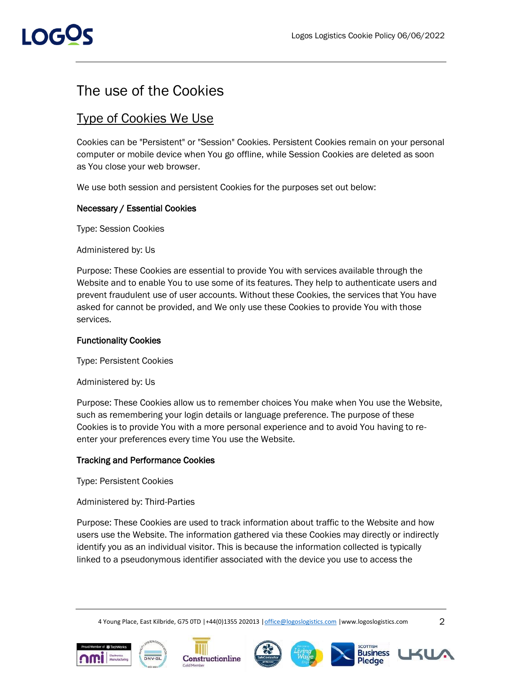## I OGOS

## The use of the Cookies

## Type of Cookies We Use

Cookies can be "Persistent" or "Session" Cookies. Persistent Cookies remain on your personal computer or mobile device when You go offline, while Session Cookies are deleted as soon as You close your web browser.

We use both session and persistent Cookies for the purposes set out below:

#### Necessary / Essential Cookies

Type: Session Cookies

Administered by: Us

Purpose: These Cookies are essential to provide You with services available through the Website and to enable You to use some of its features. They help to authenticate users and prevent fraudulent use of user accounts. Without these Cookies, the services that You have asked for cannot be provided, and We only use these Cookies to provide You with those services.

#### Functionality Cookies

Type: Persistent Cookies

Administered by: Us

Purpose: These Cookies allow us to remember choices You make when You use the Website, such as remembering your login details or language preference. The purpose of these Cookies is to provide You with a more personal experience and to avoid You having to reenter your preferences every time You use the Website.

#### Tracking and Performance Cookies

Type: Persistent Cookies

Administered by: Third-Parties

Purpose: These Cookies are used to track information about traffic to the Website and how users use the Website. The information gathered via these Cookies may directly or indirectly identify you as an individual visitor. This is because the information collected is typically linked to a pseudonymous identifier associated with the device you use to access the

4 Young Place, East Kilbride, G75 0TD |+44(0)1355 202013 | office@logoslogistics.com |www.logoslogistics.com 2





Constructionline











**Pledge**